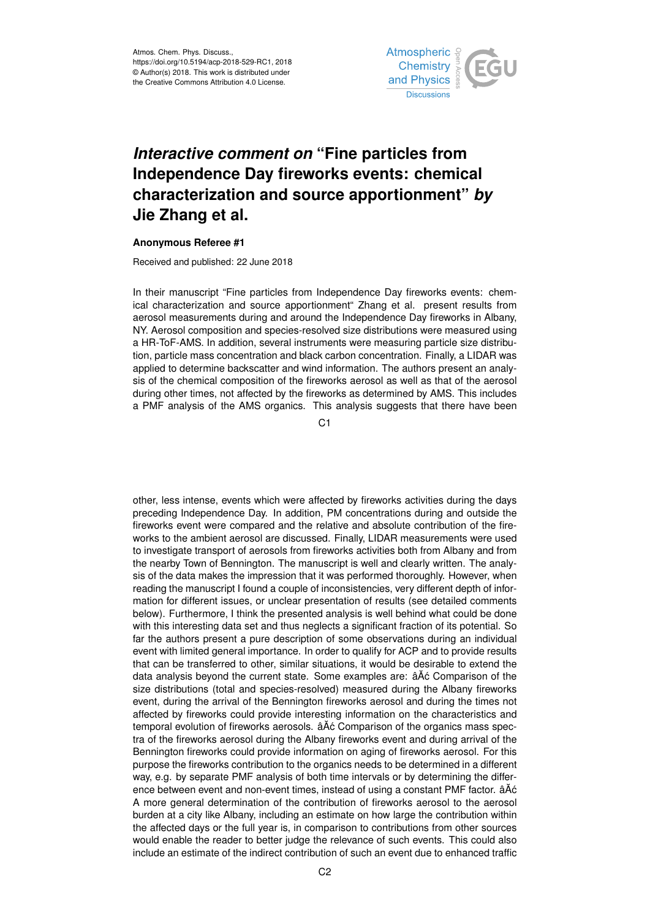

## *Interactive comment on* **"Fine particles from Independence Day fireworks events: chemical characterization and source apportionment"** *by* **Jie Zhang et al.**

## **Anonymous Referee #1**

Received and published: 22 June 2018

In their manuscript "Fine particles from Independence Day fireworks events: chemical characterization and source apportionment" Zhang et al. present results from aerosol measurements during and around the Independence Day fireworks in Albany, NY. Aerosol composition and species-resolved size distributions were measured using a HR-ToF-AMS. In addition, several instruments were measuring particle size distribution, particle mass concentration and black carbon concentration. Finally, a LIDAR was applied to determine backscatter and wind information. The authors present an analysis of the chemical composition of the fireworks aerosol as well as that of the aerosol during other times, not affected by the fireworks as determined by AMS. This includes a PMF analysis of the AMS organics. This analysis suggests that there have been

C1

other, less intense, events which were affected by fireworks activities during the days preceding Independence Day. In addition, PM concentrations during and outside the fireworks event were compared and the relative and absolute contribution of the fireworks to the ambient aerosol are discussed. Finally, LIDAR measurements were used to investigate transport of aerosols from fireworks activities both from Albany and from the nearby Town of Bennington. The manuscript is well and clearly written. The analysis of the data makes the impression that it was performed thoroughly. However, when reading the manuscript I found a couple of inconsistencies, very different depth of information for different issues, or unclear presentation of results (see detailed comments below). Furthermore, I think the presented analysis is well behind what could be done with this interesting data set and thus neglects a significant fraction of its potential. So far the authors present a pure description of some observations during an individual event with limited general importance. In order to qualify for ACP and to provide results that can be transferred to other, similar situations, it would be desirable to extend the data analysis beyond the current state. Some examples are:  $\hat{a}$ A $\hat{c}$  Comparison of the size distributions (total and species-resolved) measured during the Albany fireworks event, during the arrival of the Bennington fireworks aerosol and during the times not affected by fireworks could provide interesting information on the characteristics and temporal evolution of fireworks aerosols.  $\hat{a}\hat{A}\hat{c}$  Comparison of the organics mass spectra of the fireworks aerosol during the Albany fireworks event and during arrival of the Bennington fireworks could provide information on aging of fireworks aerosol. For this purpose the fireworks contribution to the organics needs to be determined in a different way, e.g. by separate PMF analysis of both time intervals or by determining the difference between event and non-event times, instead of using a constant PMF factor.  $\hat{a}\hat{A}\hat{c}$ A more general determination of the contribution of fireworks aerosol to the aerosol burden at a city like Albany, including an estimate on how large the contribution within the affected days or the full year is, in comparison to contributions from other sources would enable the reader to better judge the relevance of such events. This could also include an estimate of the indirect contribution of such an event due to enhanced traffic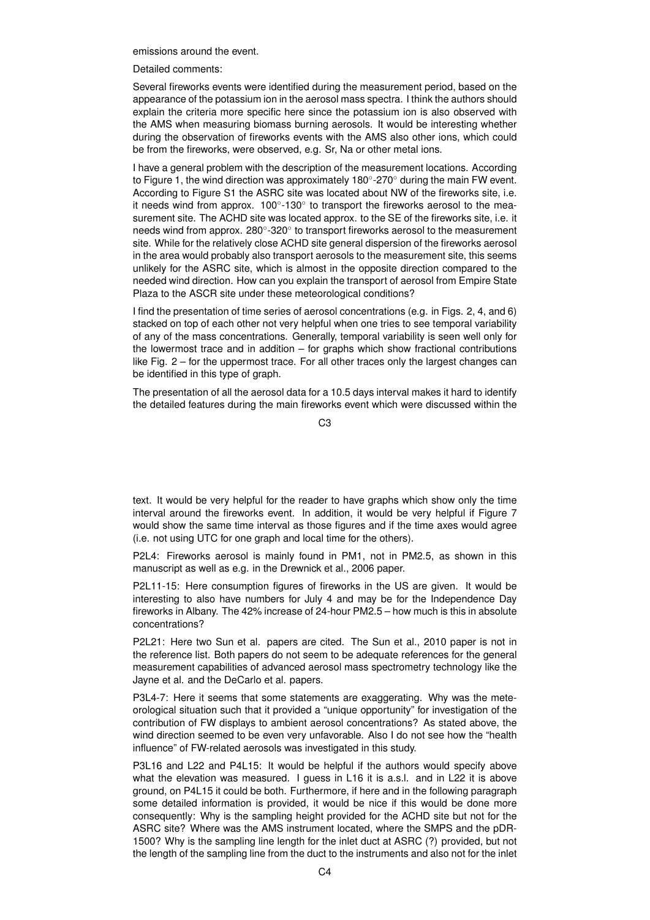emissions around the event.

Detailed comments:

Several fireworks events were identified during the measurement period, based on the appearance of the potassium ion in the aerosol mass spectra. I think the authors should explain the criteria more specific here since the potassium ion is also observed with the AMS when measuring biomass burning aerosols. It would be interesting whether during the observation of fireworks events with the AMS also other ions, which could be from the fireworks, were observed, e.g. Sr, Na or other metal ions.

I have a general problem with the description of the measurement locations. According to Figure 1, the wind direction was approximately 180°-270° during the main FW event. According to Figure S1 the ASRC site was located about NW of the fireworks site, i.e. it needs wind from approx. 100 $^{\circ}$ -130 $^{\circ}$  to transport the fireworks aerosol to the measurement site. The ACHD site was located approx. to the SE of the fireworks site, i.e. it needs wind from approx. 280°-320° to transport fireworks aerosol to the measurement site. While for the relatively close ACHD site general dispersion of the fireworks aerosol in the area would probably also transport aerosols to the measurement site, this seems unlikely for the ASRC site, which is almost in the opposite direction compared to the needed wind direction. How can you explain the transport of aerosol from Empire State Plaza to the ASCR site under these meteorological conditions?

I find the presentation of time series of aerosol concentrations (e.g. in Figs. 2, 4, and 6) stacked on top of each other not very helpful when one tries to see temporal variability of any of the mass concentrations. Generally, temporal variability is seen well only for the lowermost trace and in addition – for graphs which show fractional contributions like Fig. 2 – for the uppermost trace. For all other traces only the largest changes can be identified in this type of graph.

The presentation of all the aerosol data for a 10.5 days interval makes it hard to identify the detailed features during the main fireworks event which were discussed within the

C3

text. It would be very helpful for the reader to have graphs which show only the time interval around the fireworks event. In addition, it would be very helpful if Figure 7 would show the same time interval as those figures and if the time axes would agree (i.e. not using UTC for one graph and local time for the others).

P2L4: Fireworks aerosol is mainly found in PM1, not in PM2.5, as shown in this manuscript as well as e.g. in the Drewnick et al., 2006 paper.

P2L11-15: Here consumption figures of fireworks in the US are given. It would be interesting to also have numbers for July 4 and may be for the Independence Day fireworks in Albany. The 42% increase of 24-hour PM2.5 – how much is this in absolute concentrations?

P2L21: Here two Sun et al. papers are cited. The Sun et al., 2010 paper is not in the reference list. Both papers do not seem to be adequate references for the general measurement capabilities of advanced aerosol mass spectrometry technology like the Jayne et al. and the DeCarlo et al. papers.

P3L4-7: Here it seems that some statements are exaggerating. Why was the meteorological situation such that it provided a "unique opportunity" for investigation of the contribution of FW displays to ambient aerosol concentrations? As stated above, the wind direction seemed to be even very unfavorable. Also I do not see how the "health influence" of FW-related aerosols was investigated in this study.

P3L16 and L22 and P4L15: It would be helpful if the authors would specify above what the elevation was measured. I guess in L16 it is a.s.l. and in L22 it is above ground, on P4L15 it could be both. Furthermore, if here and in the following paragraph some detailed information is provided, it would be nice if this would be done more consequently: Why is the sampling height provided for the ACHD site but not for the ASRC site? Where was the AMS instrument located, where the SMPS and the pDR-1500? Why is the sampling line length for the inlet duct at ASRC (?) provided, but not the length of the sampling line from the duct to the instruments and also not for the inlet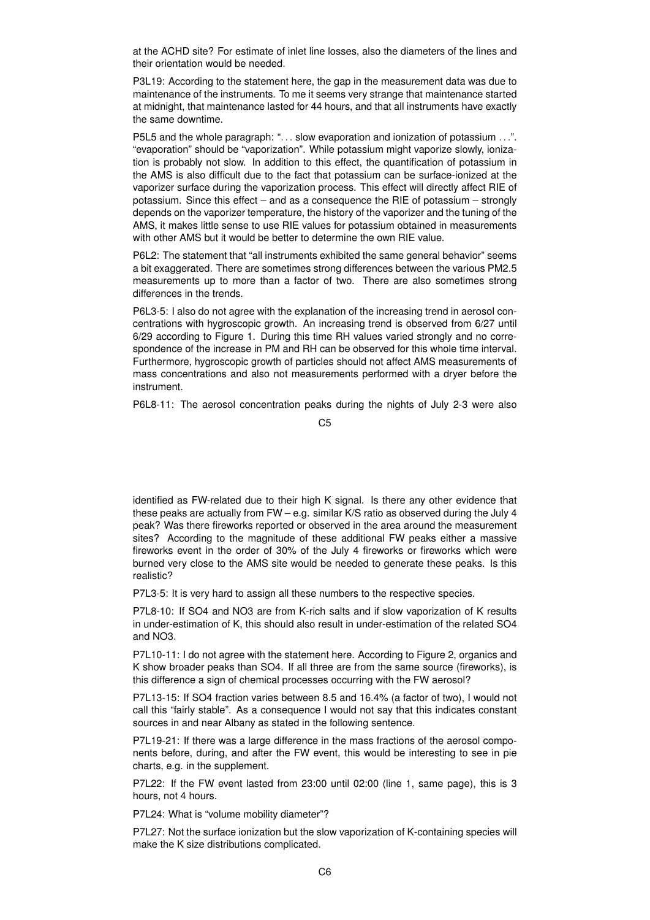at the ACHD site? For estimate of inlet line losses, also the diameters of the lines and their orientation would be needed.

P3L19: According to the statement here, the gap in the measurement data was due to maintenance of the instruments. To me it seems very strange that maintenance started at midnight, that maintenance lasted for 44 hours, and that all instruments have exactly the same downtime.

P5L5 and the whole paragraph: "... slow evaporation and ionization of potassium ...". "evaporation" should be "vaporization". While potassium might vaporize slowly, ionization is probably not slow. In addition to this effect, the quantification of potassium in the AMS is also difficult due to the fact that potassium can be surface-ionized at the vaporizer surface during the vaporization process. This effect will directly affect RIE of potassium. Since this effect – and as a consequence the RIE of potassium – strongly depends on the vaporizer temperature, the history of the vaporizer and the tuning of the AMS, it makes little sense to use RIE values for potassium obtained in measurements with other AMS but it would be better to determine the own RIE value.

P6L2: The statement that "all instruments exhibited the same general behavior" seems a bit exaggerated. There are sometimes strong differences between the various PM2.5 measurements up to more than a factor of two. There are also sometimes strong differences in the trends.

P6L3-5: I also do not agree with the explanation of the increasing trend in aerosol concentrations with hygroscopic growth. An increasing trend is observed from 6/27 until 6/29 according to Figure 1. During this time RH values varied strongly and no correspondence of the increase in PM and RH can be observed for this whole time interval. Furthermore, hygroscopic growth of particles should not affect AMS measurements of mass concentrations and also not measurements performed with a dryer before the instrument.

P6L8-11: The aerosol concentration peaks during the nights of July 2-3 were also

C5

identified as FW-related due to their high K signal. Is there any other evidence that these peaks are actually from FW – e.g. similar K/S ratio as observed during the July 4 peak? Was there fireworks reported or observed in the area around the measurement sites? According to the magnitude of these additional FW peaks either a massive fireworks event in the order of 30% of the July 4 fireworks or fireworks which were burned very close to the AMS site would be needed to generate these peaks. Is this realistic?

P7L3-5: It is very hard to assign all these numbers to the respective species.

P7L8-10: If SO4 and NO3 are from K-rich salts and if slow vaporization of K results in under-estimation of K, this should also result in under-estimation of the related SO4 and NO3.

P7L10-11: I do not agree with the statement here. According to Figure 2, organics and K show broader peaks than SO4. If all three are from the same source (fireworks), is this difference a sign of chemical processes occurring with the FW aerosol?

P7L13-15: If SO4 fraction varies between 8.5 and 16.4% (a factor of two), I would not call this "fairly stable". As a consequence I would not say that this indicates constant sources in and near Albany as stated in the following sentence.

P7L19-21: If there was a large difference in the mass fractions of the aerosol components before, during, and after the FW event, this would be interesting to see in pie charts, e.g. in the supplement.

P7L22: If the FW event lasted from 23:00 until 02:00 (line 1, same page), this is 3 hours, not 4 hours.

P7L24: What is "volume mobility diameter"?

P7L27: Not the surface ionization but the slow vaporization of K-containing species will make the K size distributions complicated.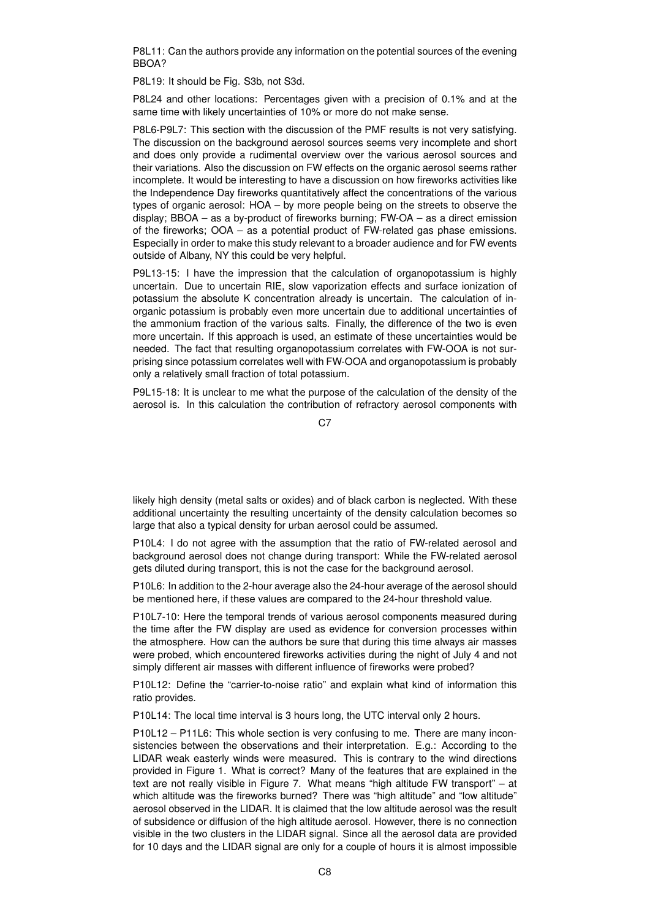P8L11: Can the authors provide any information on the potential sources of the evening BBOA?

P8L19: It should be Fig. S3b, not S3d.

P8L24 and other locations: Percentages given with a precision of 0.1% and at the same time with likely uncertainties of 10% or more do not make sense.

P8L6-P9L7: This section with the discussion of the PMF results is not very satisfying. The discussion on the background aerosol sources seems very incomplete and short and does only provide a rudimental overview over the various aerosol sources and their variations. Also the discussion on FW effects on the organic aerosol seems rather incomplete. It would be interesting to have a discussion on how fireworks activities like the Independence Day fireworks quantitatively affect the concentrations of the various types of organic aerosol: HOA – by more people being on the streets to observe the display; BBOA – as a by-product of fireworks burning; FW-OA – as a direct emission of the fireworks; OOA – as a potential product of FW-related gas phase emissions. Especially in order to make this study relevant to a broader audience and for FW events outside of Albany, NY this could be very helpful.

P9L13-15: I have the impression that the calculation of organopotassium is highly uncertain. Due to uncertain RIE, slow vaporization effects and surface ionization of potassium the absolute K concentration already is uncertain. The calculation of inorganic potassium is probably even more uncertain due to additional uncertainties of the ammonium fraction of the various salts. Finally, the difference of the two is even more uncertain. If this approach is used, an estimate of these uncertainties would be needed. The fact that resulting organopotassium correlates with FW-OOA is not surprising since potassium correlates well with FW-OOA and organopotassium is probably only a relatively small fraction of total potassium.

P9L15-18: It is unclear to me what the purpose of the calculation of the density of the aerosol is. In this calculation the contribution of refractory aerosol components with

 $C<sub>7</sub>$ 

likely high density (metal salts or oxides) and of black carbon is neglected. With these additional uncertainty the resulting uncertainty of the density calculation becomes so large that also a typical density for urban aerosol could be assumed.

P10L4: I do not agree with the assumption that the ratio of FW-related aerosol and background aerosol does not change during transport: While the FW-related aerosol gets diluted during transport, this is not the case for the background aerosol.

P10L6: In addition to the 2-hour average also the 24-hour average of the aerosol should be mentioned here, if these values are compared to the 24-hour threshold value.

P10L7-10: Here the temporal trends of various aerosol components measured during the time after the FW display are used as evidence for conversion processes within the atmosphere. How can the authors be sure that during this time always air masses were probed, which encountered fireworks activities during the night of July 4 and not simply different air masses with different influence of fireworks were probed?

P10L12: Define the "carrier-to-noise ratio" and explain what kind of information this ratio provides.

P10L14: The local time interval is 3 hours long, the UTC interval only 2 hours.

P10L12 – P11L6: This whole section is very confusing to me. There are many inconsistencies between the observations and their interpretation. E.g.: According to the LIDAR weak easterly winds were measured. This is contrary to the wind directions provided in Figure 1. What is correct? Many of the features that are explained in the text are not really visible in Figure 7. What means "high altitude FW transport" – at which altitude was the fireworks burned? There was "high altitude" and "low altitude" aerosol observed in the LIDAR. It is claimed that the low altitude aerosol was the result of subsidence or diffusion of the high altitude aerosol. However, there is no connection visible in the two clusters in the LIDAR signal. Since all the aerosol data are provided for 10 days and the LIDAR signal are only for a couple of hours it is almost impossible